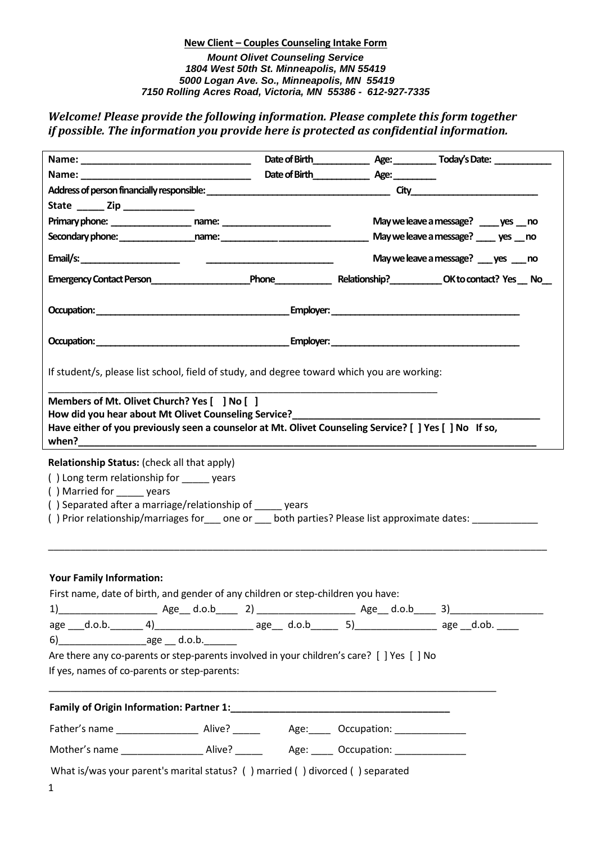*Welcome! Please provide the following information. Please complete this form together if possible. The information you provide here is protected as confidential information.* 

| State ________ Zip _________________                                                                                                                                                                                                                                                                                                                                                                     |  |                                         |
|----------------------------------------------------------------------------------------------------------------------------------------------------------------------------------------------------------------------------------------------------------------------------------------------------------------------------------------------------------------------------------------------------------|--|-----------------------------------------|
|                                                                                                                                                                                                                                                                                                                                                                                                          |  | May we leave a message? _____ yes __ no |
|                                                                                                                                                                                                                                                                                                                                                                                                          |  | May we leave a message? ____ yes __ no  |
|                                                                                                                                                                                                                                                                                                                                                                                                          |  | May we leave a message? yes no          |
|                                                                                                                                                                                                                                                                                                                                                                                                          |  |                                         |
|                                                                                                                                                                                                                                                                                                                                                                                                          |  |                                         |
|                                                                                                                                                                                                                                                                                                                                                                                                          |  |                                         |
| If student/s, please list school, field of study, and degree toward which you are working:                                                                                                                                                                                                                                                                                                               |  |                                         |
| Members of Mt. Olivet Church? Yes [ ] No [ ]<br>How did you hear about Mt Olivet Counseling Service?_____________________________<br>Have either of you previously seen a counselor at Mt. Olivet Counseling Service? [ ] Yes [ ] No If so,                                                                                                                                                              |  |                                         |
| () Long term relationship for ______ years<br>() Married for years<br>() Separated after a marriage/relationship of _____ years<br>() Prior relationship/marriages for ____ one or ____ both parties? Please list approximate dates: ____________                                                                                                                                                        |  |                                         |
| <b>Your Family Information:</b><br>First name, date of birth, and gender of any children or step-children you have:<br>age ___d.o.b. _______ 4) ________________________ age ___ d.o.b________ 5) ____________________ age __d.ob. _____<br>$6)$ age d.o.b.<br>Are there any co-parents or step-parents involved in your children's care? [ ] Yes [ ] No<br>If yes, names of co-parents or step-parents: |  |                                         |
|                                                                                                                                                                                                                                                                                                                                                                                                          |  |                                         |
|                                                                                                                                                                                                                                                                                                                                                                                                          |  |                                         |
|                                                                                                                                                                                                                                                                                                                                                                                                          |  |                                         |
| What is/was your parent's marital status? ( ) married ( ) divorced ( ) separated<br>$\mathbf{1}$                                                                                                                                                                                                                                                                                                         |  |                                         |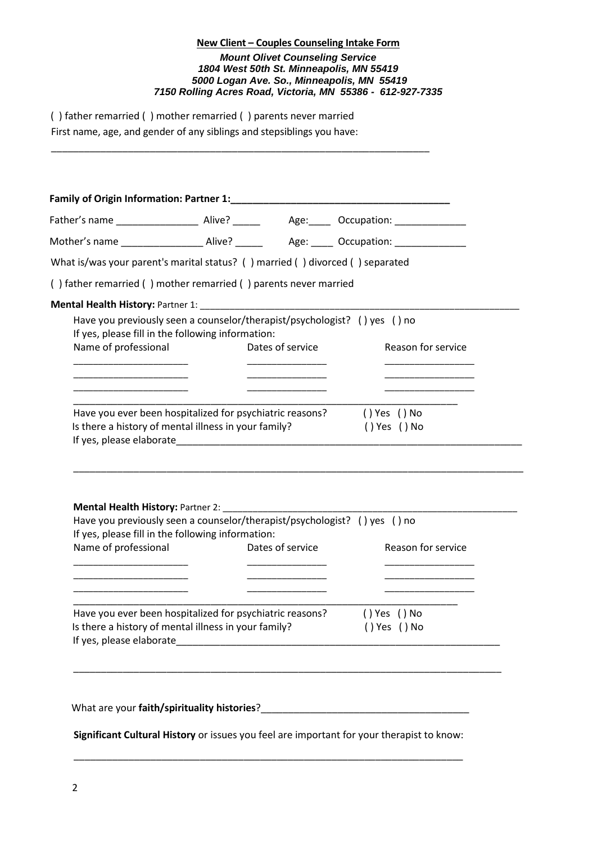( ) father remarried ( ) mother remarried ( ) parents never married First name, age, and gender of any siblings and stepsiblings you have:

\_\_\_\_\_\_\_\_\_\_\_\_\_\_\_\_\_\_\_\_\_\_\_\_\_\_\_\_\_\_\_\_\_\_\_\_\_\_\_\_\_\_\_\_\_\_\_\_\_\_\_\_\_\_\_\_\_\_\_\_\_\_\_\_\_\_\_\_\_

|                                                                                                                                                       |                  | Father's name _____________________ Alive? _____________ Age:_______ Occupation: __________________ |
|-------------------------------------------------------------------------------------------------------------------------------------------------------|------------------|-----------------------------------------------------------------------------------------------------|
|                                                                                                                                                       |                  | Mother's name ______________________ Alive? ______________ Age: ______ Occupation: ________________ |
| What is/was your parent's marital status? () married () divorced () separated                                                                         |                  |                                                                                                     |
| () father remarried () mother remarried () parents never married                                                                                      |                  |                                                                                                     |
|                                                                                                                                                       |                  |                                                                                                     |
| Have you previously seen a counselor/therapist/psychologist? () yes () no                                                                             |                  |                                                                                                     |
| If yes, please fill in the following information:                                                                                                     |                  |                                                                                                     |
| Name of professional                                                                                                                                  | Dates of service | Reason for service                                                                                  |
|                                                                                                                                                       |                  |                                                                                                     |
| _____________________________<br><u> 1980 - Johann John Harry Harry Harry Harry Harry Harry Harry Harry Harry Harry Harry Harry Harry Harry Harry</u> |                  | ____________________________                                                                        |
|                                                                                                                                                       |                  |                                                                                                     |
| Have you ever been hospitalized for psychiatric reasons? () Yes () No<br>Is there a history of mental illness in your family?                         |                  | () Yes () No                                                                                        |
|                                                                                                                                                       |                  |                                                                                                     |
|                                                                                                                                                       |                  |                                                                                                     |
|                                                                                                                                                       |                  |                                                                                                     |
|                                                                                                                                                       |                  |                                                                                                     |
|                                                                                                                                                       |                  |                                                                                                     |
|                                                                                                                                                       |                  |                                                                                                     |
|                                                                                                                                                       |                  |                                                                                                     |
| Have you previously seen a counselor/therapist/psychologist? () yes () no                                                                             |                  |                                                                                                     |
| If yes, please fill in the following information:                                                                                                     |                  |                                                                                                     |
| Name of professional                                                                                                                                  | Dates of service | Reason for service                                                                                  |
|                                                                                                                                                       |                  |                                                                                                     |
|                                                                                                                                                       |                  |                                                                                                     |
|                                                                                                                                                       |                  |                                                                                                     |
|                                                                                                                                                       |                  |                                                                                                     |
| Have you ever been hospitalized for psychiatric reasons?                                                                                              |                  | () Yes () No                                                                                        |
| Is there a history of mental illness in your family?                                                                                                  |                  | () Yes () No                                                                                        |
|                                                                                                                                                       |                  |                                                                                                     |
|                                                                                                                                                       |                  |                                                                                                     |
|                                                                                                                                                       |                  |                                                                                                     |
|                                                                                                                                                       |                  |                                                                                                     |

**Significant Cultural History** or issues you feel are important for your therapist to know:

\_\_\_\_\_\_\_\_\_\_\_\_\_\_\_\_\_\_\_\_\_\_\_\_\_\_\_\_\_\_\_\_\_\_\_\_\_\_\_\_\_\_\_\_\_\_\_\_\_\_\_\_\_\_\_\_\_\_\_\_\_\_\_\_\_\_\_\_\_\_\_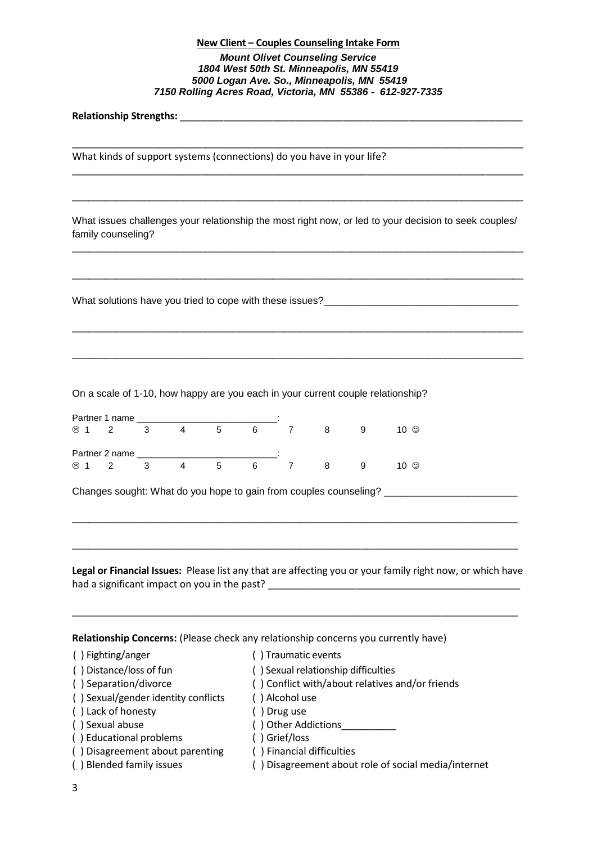\_\_\_\_\_\_\_\_\_\_\_\_\_\_\_\_\_\_\_\_\_\_\_\_\_\_\_\_\_\_\_\_\_\_\_\_\_\_\_\_\_\_\_\_\_\_\_\_\_\_\_\_\_\_\_\_\_\_\_\_\_\_\_\_\_\_\_\_\_\_\_\_\_\_\_\_\_\_\_\_\_\_\_

\_\_\_\_\_\_\_\_\_\_\_\_\_\_\_\_\_\_\_\_\_\_\_\_\_\_\_\_\_\_\_\_\_\_\_\_\_\_\_\_\_\_\_\_\_\_\_\_\_\_\_\_\_\_\_\_\_\_\_\_\_\_\_\_\_\_\_\_\_\_\_\_\_\_\_\_\_\_\_\_\_\_\_

\_\_\_\_\_\_\_\_\_\_\_\_\_\_\_\_\_\_\_\_\_\_\_\_\_\_\_\_\_\_\_\_\_\_\_\_\_\_\_\_\_\_\_\_\_\_\_\_\_\_\_\_\_\_\_\_\_\_\_\_\_\_\_\_\_\_\_\_\_\_\_\_\_\_\_\_\_\_\_\_\_

**Relationship Strengths: Letters and Strengths C** 

What kinds of support systems (connections) do you have in your life?

What issues challenges your relationship the most right now, or led to your decision to seek couples/ family counseling?

\_\_\_\_\_\_\_\_\_\_\_\_\_\_\_\_\_\_\_\_\_\_\_\_\_\_\_\_\_\_\_\_\_\_\_\_\_\_\_\_\_\_\_\_\_\_\_\_\_\_\_\_\_\_\_\_\_\_\_\_\_\_\_\_\_\_\_\_\_\_\_\_\_\_\_\_\_\_\_\_\_

\_\_\_\_\_\_\_\_\_\_\_\_\_\_\_\_\_\_\_\_\_\_\_\_\_\_\_\_\_\_\_\_\_\_\_\_\_\_\_\_\_\_\_\_\_\_\_\_\_\_\_\_\_\_\_\_\_\_\_\_\_\_\_\_\_\_\_\_\_\_\_\_\_\_\_\_\_\_\_\_\_

\_\_\_\_\_\_\_\_\_\_\_\_\_\_\_\_\_\_\_\_\_\_\_\_\_\_\_\_\_\_\_\_\_\_\_\_\_\_\_\_\_\_\_\_\_\_\_\_\_\_\_\_\_\_\_\_\_\_\_\_\_\_\_\_\_\_\_\_\_\_\_\_\_\_\_\_\_\_\_\_\_

\_\_\_\_\_\_\_\_\_\_\_\_\_\_\_\_\_\_\_\_\_\_\_\_\_\_\_\_\_\_\_\_\_\_\_\_\_\_\_\_\_\_\_\_\_\_\_\_\_\_\_\_\_\_\_\_\_\_\_\_\_\_\_\_\_\_\_\_\_\_\_\_\_\_\_\_\_\_\_\_\_

What solutions have you tried to cope with these issues?<br>

On a scale of 1-10, how happy are you each in your current couple relationship?

|         | Partner 1 name |   |              |   | $\cdot$ |   |   |      |
|---------|----------------|---|--------------|---|---------|---|---|------|
| ⊛       |                |   | G            | 6 |         |   | 9 | 10 © |
|         | Partner 2 name |   |              |   | $\cdot$ |   |   |      |
| $\odot$ | 2              | 4 | $\mathbf{D}$ | 6 |         | 8 | 9 | 10 © |

Changes sought: What do you hope to gain from couples counseling? \_\_\_\_\_\_\_\_\_\_\_\_\_\_\_\_\_\_\_\_\_

**Legal or Financial Issues:** Please list any that are affecting you or your family right now, or which have had a significant impact on you in the past? \_\_\_\_\_\_\_\_\_\_\_\_\_\_\_\_\_\_\_\_\_\_\_\_\_\_\_\_\_\_\_\_\_\_\_\_\_\_\_\_\_\_\_\_\_\_

\_\_\_\_\_\_\_\_\_\_\_\_\_\_\_\_\_\_\_\_\_\_\_\_\_\_\_\_\_\_\_\_\_\_\_\_\_\_\_\_\_\_\_\_\_\_\_\_\_\_\_\_\_\_\_\_\_\_\_\_\_\_\_\_\_\_\_\_\_\_\_\_\_\_\_\_\_\_\_\_\_\_

\_\_\_\_\_\_\_\_\_\_\_\_\_\_\_\_\_\_\_\_\_\_\_\_\_\_\_\_\_\_\_\_\_\_\_\_\_\_\_\_\_\_\_\_\_\_\_\_\_\_\_\_\_\_\_\_\_\_\_\_\_\_\_\_\_\_\_\_\_\_\_\_\_\_\_\_\_\_\_\_

\_\_\_\_\_\_\_\_\_\_\_\_\_\_\_\_\_\_\_\_\_\_\_\_\_\_\_\_\_\_\_\_\_\_\_\_\_\_\_\_\_\_\_\_\_\_\_\_\_\_\_\_\_\_\_\_\_\_\_\_\_\_\_\_\_\_\_\_\_\_\_\_\_\_\_\_\_\_\_\_

**Relationship Concerns:** (Please check any relationship concerns you currently have)

( ) Fighting/anger ( ) Traumatic events

| () Distance/loss of fun             | Sexual relationship difficulties                   |
|-------------------------------------|----------------------------------------------------|
| () Separation/divorce               | () Conflict with/about relatives and/or friends    |
| () Sexual/gender identity conflicts | ) Alcohol use                                      |
| () Lack of honesty                  | ) Drug use                                         |
| () Sexual abuse                     | () Other Addictions                                |
| () Educational problems             | ) Grief/loss                                       |
| () Disagreement about parenting     | () Financial difficulties                          |
| () Blended family issues            | ) Disagreement about role of social media/internet |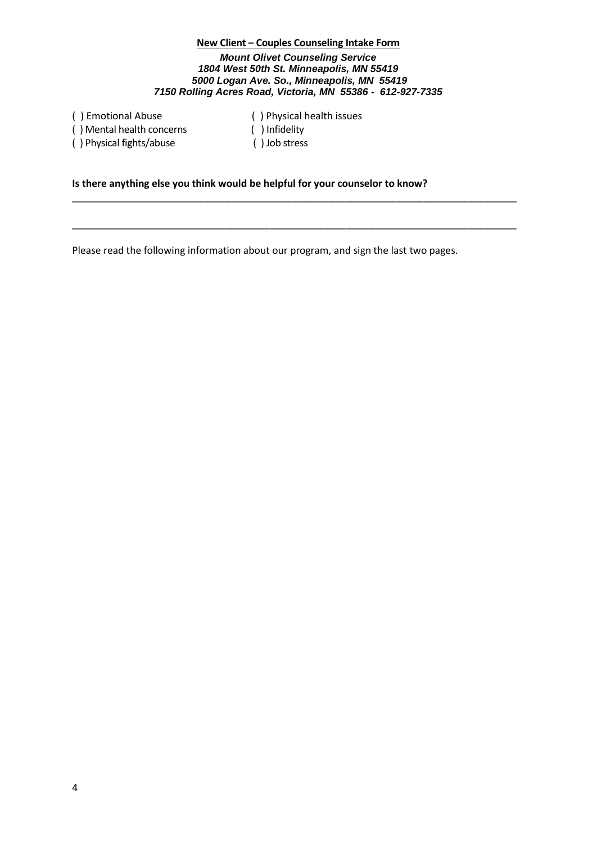( ) Mental health concerns ( ) Infidelity ( ) Physical fights/abuse ( ) Job stress

( ) Emotional Abuse ( ) Physical health issues

\_\_\_\_\_\_\_\_\_\_\_\_\_\_\_\_\_\_\_\_\_\_\_\_\_\_\_\_\_\_\_\_\_\_\_\_\_\_\_\_\_\_\_\_\_\_\_\_\_\_\_\_\_\_\_\_\_\_\_\_\_\_\_\_\_\_\_\_\_\_\_\_\_\_\_\_\_\_\_\_\_

\_\_\_\_\_\_\_\_\_\_\_\_\_\_\_\_\_\_\_\_\_\_\_\_\_\_\_\_\_\_\_\_\_\_\_\_\_\_\_\_\_\_\_\_\_\_\_\_\_\_\_\_\_\_\_\_\_\_\_\_\_\_\_\_\_\_\_\_\_\_\_\_\_\_\_\_\_\_\_\_\_

## **Is there anything else you think would be helpful for your counselor to know?**

Please read the following information about our program, and sign the last two pages.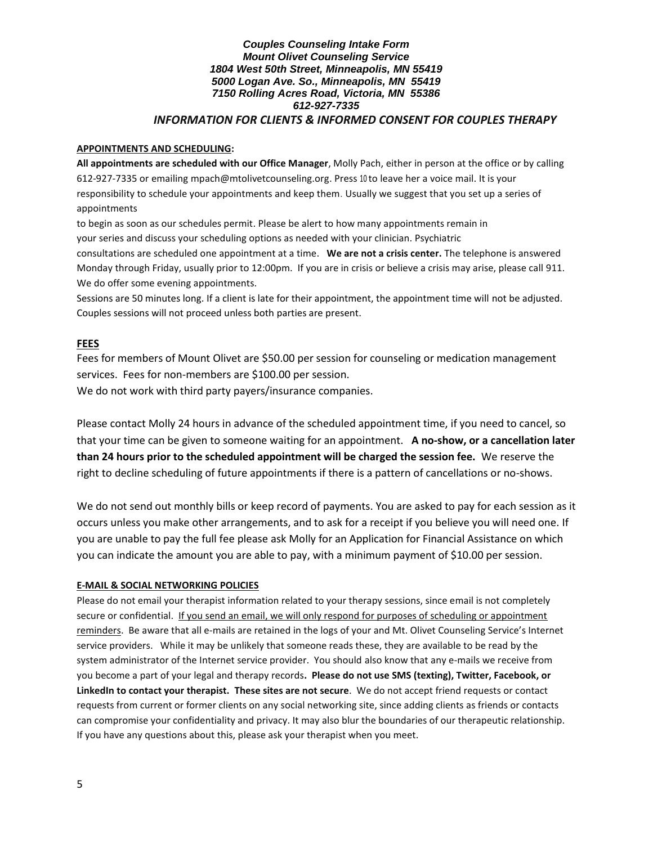### *Couples Counseling Intake Form Mount Olivet Counseling Service 1804 West 50th Street, Minneapolis, MN 55419 5000 Logan Ave. So., Minneapolis, MN 55419 7150 Rolling Acres Road, Victoria, MN 55386 612-927-7335 INFORMATION FOR CLIENTS & INFORMED CONSENT FOR COUPLES THERAPY*

#### **APPOINTMENTS AND SCHEDULING:**

**All appointments are scheduled with our Office Manager**, Molly Pach, either in person at the office or by calling 612-927-7335 or emailing mpach@mtolivetcounseling.org. Press 10 to leave her a voice mail. It is your responsibility to schedule your appointments and keep them. Usually we suggest that you set up a series of appointments

to begin as soon as our schedules permit. Please be alert to how many appointments remain in your series and discuss your scheduling options as needed with your clinician. Psychiatric

consultations are scheduled one appointment at a time. **We are not a crisis center.** The telephone is answered Monday through Friday, usually prior to 12:00pm. If you are in crisis or believe a crisis may arise, please call 911. We do offer some evening appointments.

Sessions are 50 minutes long. If a client is late for their appointment, the appointment time will not be adjusted. Couples sessions will not proceed unless both parties are present.

## **FEES**

Fees for members of Mount Olivet are \$50.00 per session for counseling or medication management services. Fees for non-members are \$100.00 per session.

We do not work with third party payers/insurance companies.

Please contact Molly 24 hours in advance of the scheduled appointment time, if you need to cancel, so that your time can be given to someone waiting for an appointment. **A no-show, or a cancellation later than 24 hours prior to the scheduled appointment will be charged the session fee.** We reserve the right to decline scheduling of future appointments if there is a pattern of cancellations or no-shows.

We do not send out monthly bills or keep record of payments. You are asked to pay for each session as it occurs unless you make other arrangements, and to ask for a receipt if you believe you will need one. If you are unable to pay the full fee please ask Molly for an Application for Financial Assistance on which you can indicate the amount you are able to pay, with a minimum payment of \$10.00 per session.

### **E-MAIL & SOCIAL NETWORKING POLICIES**

Please do not email your therapist information related to your therapy sessions, since email is not completely secure or confidential. If you send an email, we will only respond for purposes of scheduling or appointment reminders. Be aware that all e-mails are retained in the logs of your and Mt. Olivet Counseling Service's Internet service providers. While it may be unlikely that someone reads these, they are available to be read by the system administrator of the Internet service provider. You should also know that any e-mails we receive from you become a part of your legal and therapy records**. Please do not use SMS (texting), Twitter, Facebook, or LinkedIn to contact your therapist. These sites are not secure**. We do not accept friend requests or contact requests from current or former clients on any social networking site, since adding clients as friends or contacts can compromise your confidentiality and privacy. It may also blur the boundaries of our therapeutic relationship. If you have any questions about this, please ask your therapist when you meet.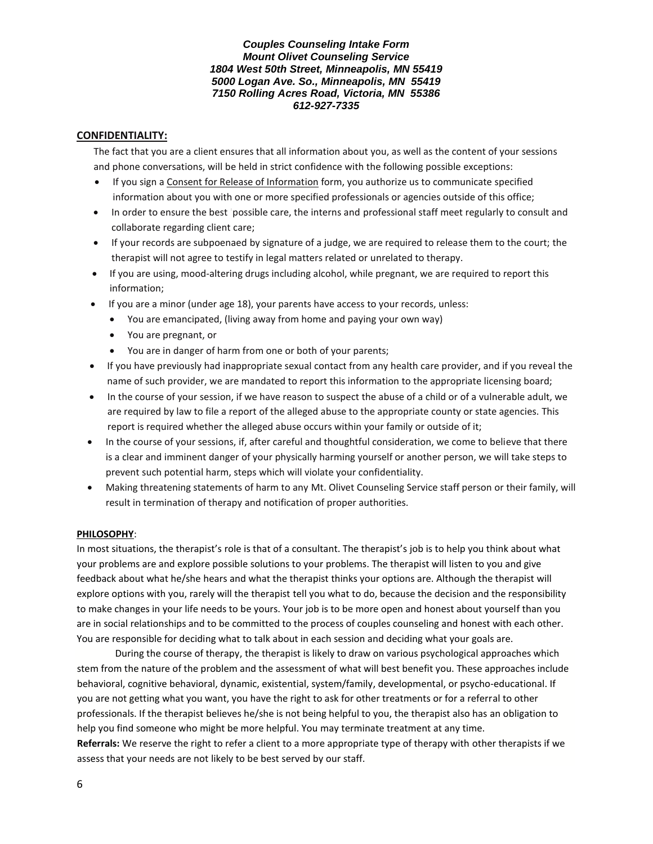## **CONFIDENTIALITY:**

The fact that you are a client ensures that all information about you, as well as the content of your sessions and phone conversations, will be held in strict confidence with the following possible exceptions:

- If you sign a Consent for Release of Information form, you authorize us to communicate specified information about you with one or more specified professionals or agencies outside of this office;
- In order to ensure the best 'possible care, the interns and professional staff meet regularly to consult and collaborate regarding client care;
- If your records are subpoenaed by signature of a judge, we are required to release them to the court; the therapist will not agree to testify in legal matters related or unrelated to therapy.
- If you are using, mood-altering drugs including alcohol, while pregnant, we are required to report this information;
- If you are a minor (under age 18), your parents have access to your records, unless:
	- You are emancipated, (living away from home and paying your own way)
	- You are pregnant, or
	- You are in danger of harm from one or both of your parents;
- If you have previously had inappropriate sexual contact from any health care provider, and if you reveal the name of such provider, we are mandated to report this information to the appropriate licensing board;
- In the course of your session, if we have reason to suspect the abuse of a child or of a vulnerable adult, we are required by law to file a report of the alleged abuse to the appropriate county or state agencies. This report is required whether the alleged abuse occurs within your family or outside of it;
- In the course of your sessions, if, after careful and thoughtful consideration, we come to believe that there is a clear and imminent danger of your physically harming yourself or another person, we will take steps to prevent such potential harm, steps which will violate your confidentiality.
- Making threatening statements of harm to any Mt. Olivet Counseling Service staff person or their family, will result in termination of therapy and notification of proper authorities.

#### **PHILOSOPHY**:

In most situations, the therapist's role is that of a consultant. The therapist's job is to help you think about what your problems are and explore possible solutions to your problems. The therapist will listen to you and give feedback about what he/she hears and what the therapist thinks your options are. Although the therapist will explore options with you, rarely will the therapist tell you what to do, because the decision and the responsibility to make changes in your life needs to be yours. Your job is to be more open and honest about yourself than you are in social relationships and to be committed to the process of couples counseling and honest with each other. You are responsible for deciding what to talk about in each session and deciding what your goals are.

During the course of therapy, the therapist is likely to draw on various psychological approaches which stem from the nature of the problem and the assessment of what will best benefit you. These approaches include behavioral, cognitive behavioral, dynamic, existential, system/family, developmental, or psycho-educational. If you are not getting what you want, you have the right to ask for other treatments or for a referral to other professionals. If the therapist believes he/she is not being helpful to you, the therapist also has an obligation to help you find someone who might be more helpful. You may terminate treatment at any time. **Referrals:** We reserve the right to refer a client to a more appropriate type of therapy with other therapists if we assess that your needs are not likely to be best served by our staff.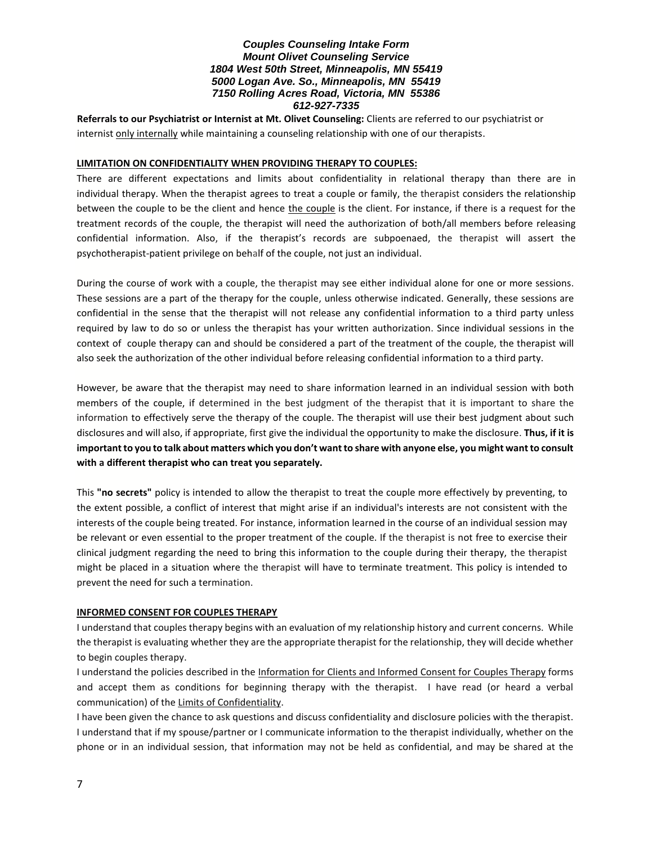**Referrals to our Psychiatrist or Internist at Mt. Olivet Counseling:** Clients are referred to our psychiatrist or internist only internally while maintaining a counseling relationship with one of our therapists.

### **LIMITATION ON CONFIDENTIALITY WHEN PROVIDING THERAPY TO COUPLES:**

There are different expectations and limits about confidentiality in relational therapy than there are in individual therapy. When the therapist agrees to treat a couple or family, the therapist considers the relationship between the couple to be the client and hence the couple is the client. For instance, if there is a request for the treatment records of the couple, the therapist will need the authorization of both/all members before releasing confidential information. Also, if the therapist's records are subpoenaed, the therapist will assert the psychotherapist-patient privilege on behalf of the couple, not just an individual.

During the course of work with a couple, the therapist may see either individual alone for one or more sessions. These sessions are a part of the therapy for the couple, unless otherwise indicated. Generally, these sessions are confidential in the sense that the therapist will not release any confidential information to a third party unless required by law to do so or unless the therapist has your written authorization. Since individual sessions in the context of couple therapy can and should be considered a part of the treatment of the couple, the therapist will also seek the authorization of the other individual before releasing confidential information to a third party.

However, be aware that the therapist may need to share information learned in an individual session with both members of the couple, if determined in the best judgment of the therapist that it is important to share the information to effectively serve the therapy of the couple. The therapist will use their best judgment about such disclosures and will also, if appropriate, first give the individual the opportunity to make the disclosure. **Thus, if it is important to you to talk about matters which you don't want to share with anyone else, you might want to consult with a different therapist who can treat you separately.** 

This **"no secrets"** policy is intended to allow the therapist to treat the couple more effectively by preventing, to the extent possible, a conflict of interest that might arise if an individual's interests are not consistent with the interests of the couple being treated. For instance, information learned in the course of an individual session may be relevant or even essential to the proper treatment of the couple. If the therapist is not free to exercise their clinical judgment regarding the need to bring this information to the couple during their therapy, the therapist might be placed in a situation where the therapist will have to terminate treatment. This policy is intended to prevent the need for such a termination.

### **INFORMED CONSENT FOR COUPLES THERAPY**

I understand that couples therapy begins with an evaluation of my relationship history and current concerns. While the therapist is evaluating whether they are the appropriate therapist for the relationship, they will decide whether to begin couples therapy.

I understand the policies described in the Information for Clients and Informed Consent for Couples Therapy forms and accept them as conditions for beginning therapy with the therapist. I have read (or heard a verbal communication) of the Limits of Confidentiality.

I have been given the chance to ask questions and discuss confidentiality and disclosure policies with the therapist. I understand that if my spouse/partner or I communicate information to the therapist individually, whether on the phone or in an individual session, that information may not be held as confidential, and may be shared at the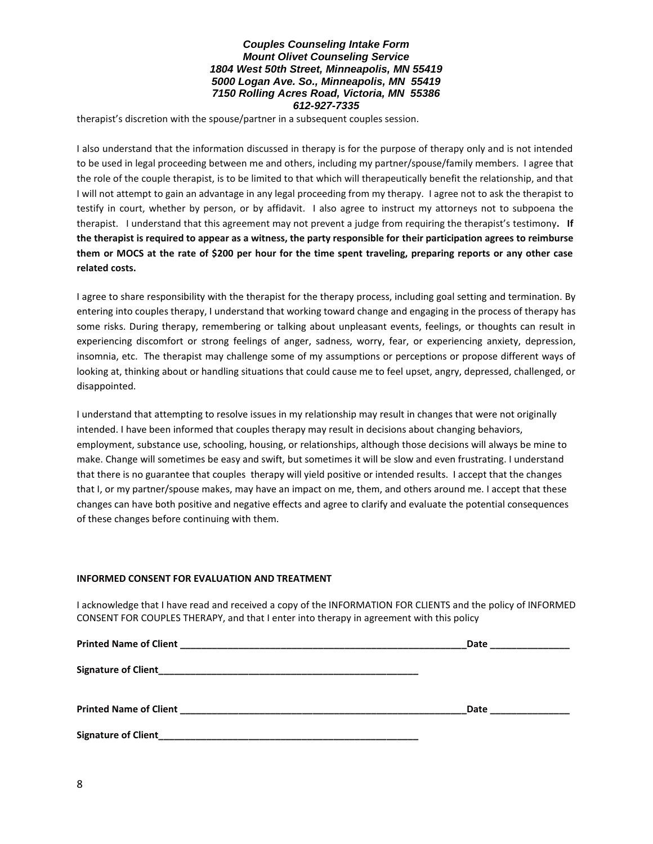therapist's discretion with the spouse/partner in a subsequent couples session.

I also understand that the information discussed in therapy is for the purpose of therapy only and is not intended to be used in legal proceeding between me and others, including my partner/spouse/family members. I agree that the role of the couple therapist, is to be limited to that which will therapeutically benefit the relationship, and that I will not attempt to gain an advantage in any legal proceeding from my therapy. I agree not to ask the therapist to testify in court, whether by person, or by affidavit. I also agree to instruct my attorneys not to subpoena the therapist. I understand that this agreement may not prevent a judge from requiring the therapist's testimony**. If the therapist is required to appear as a witness, the party responsible for their participation agrees to reimburse them or MOCS at the rate of \$200 per hour for the time spent traveling, preparing reports or any other case related costs.** 

I agree to share responsibility with the therapist for the therapy process, including goal setting and termination. By entering into couples therapy, I understand that working toward change and engaging in the process of therapy has some risks. During therapy, remembering or talking about unpleasant events, feelings, or thoughts can result in experiencing discomfort or strong feelings of anger, sadness, worry, fear, or experiencing anxiety, depression, insomnia, etc. The therapist may challenge some of my assumptions or perceptions or propose different ways of looking at, thinking about or handling situations that could cause me to feel upset, angry, depressed, challenged, or disappointed.

I understand that attempting to resolve issues in my relationship may result in changes that were not originally intended. I have been informed that couples therapy may result in decisions about changing behaviors, employment, substance use, schooling, housing, or relationships, although those decisions will always be mine to make. Change will sometimes be easy and swift, but sometimes it will be slow and even frustrating. I understand that there is no guarantee that couples therapy will yield positive or intended results. I accept that the changes that I, or my partner/spouse makes, may have an impact on me, them, and others around me. I accept that these changes can have both positive and negative effects and agree to clarify and evaluate the potential consequences of these changes before continuing with them.

#### **INFORMED CONSENT FOR EVALUATION AND TREATMENT**

I acknowledge that I have read and received a copy of the INFORMATION FOR CLIENTS and the policy of INFORMED CONSENT FOR COUPLES THERAPY, and that I enter into therapy in agreement with this policy

|                                                                                                                                              | Date and the set of the set of the set of the set of the set of the set of the set of the set of the set of th |
|----------------------------------------------------------------------------------------------------------------------------------------------|----------------------------------------------------------------------------------------------------------------|
|                                                                                                                                              |                                                                                                                |
|                                                                                                                                              | Date                                                                                                           |
| Signature of Client_<br><u> 1989 - Johann John Harry, mars ar yn y brenin y brenin y brenin y brenin y brenin y brenin y brenin y brenin</u> |                                                                                                                |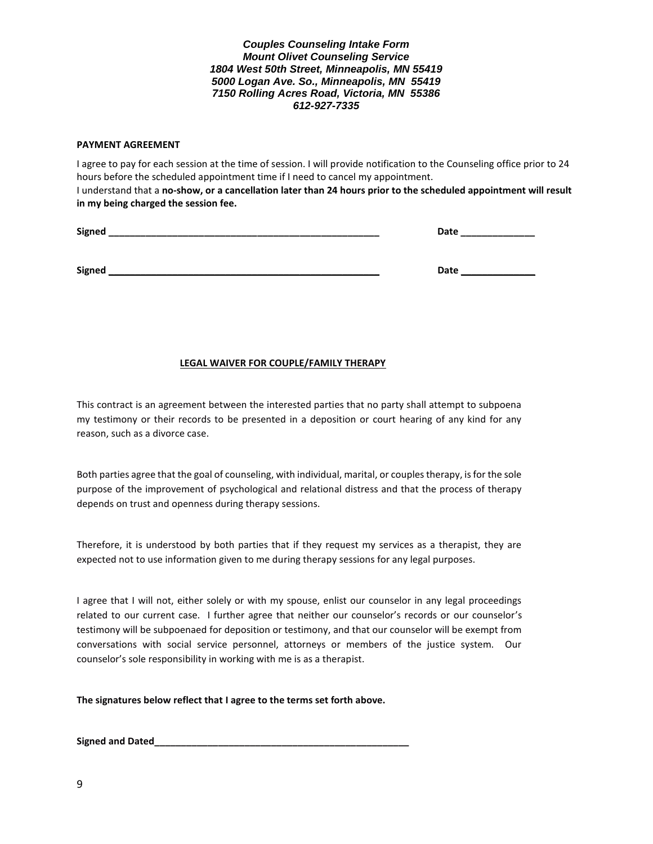#### **PAYMENT AGREEMENT**

I agree to pay for each session at the time of session. I will provide notification to the Counseling office prior to 24 hours before the scheduled appointment time if I need to cancel my appointment. I understand that a **no-show, or a cancellation later than 24 hours prior to the scheduled appointment will result in my being charged the session fee.**

| <b>Signed</b> | Date |
|---------------|------|
|               |      |
|               |      |
| <b>Signed</b> | Date |

### **LEGAL WAIVER FOR COUPLE/FAMILY THERAPY**

This contract is an agreement between the interested parties that no party shall attempt to subpoena my testimony or their records to be presented in a deposition or court hearing of any kind for any reason, such as a divorce case.

Both parties agree that the goal of counseling, with individual, marital, or couples therapy, is for the sole purpose of the improvement of psychological and relational distress and that the process of therapy depends on trust and openness during therapy sessions.

Therefore, it is understood by both parties that if they request my services as a therapist, they are expected not to use information given to me during therapy sessions for any legal purposes.

I agree that I will not, either solely or with my spouse, enlist our counselor in any legal proceedings related to our current case. I further agree that neither our counselor's records or our counselor's testimony will be subpoenaed for deposition or testimony, and that our counselor will be exempt from conversations with social service personnel, attorneys or members of the justice system. Our counselor's sole responsibility in working with me is as a therapist.

**The signatures below reflect that I agree to the terms set forth above.**

**Signed and Dated\_\_\_\_\_\_\_\_\_\_\_\_\_\_\_\_\_\_\_\_\_\_\_\_\_\_\_\_\_\_\_\_\_\_\_\_\_\_\_\_\_\_\_\_\_\_\_\_**